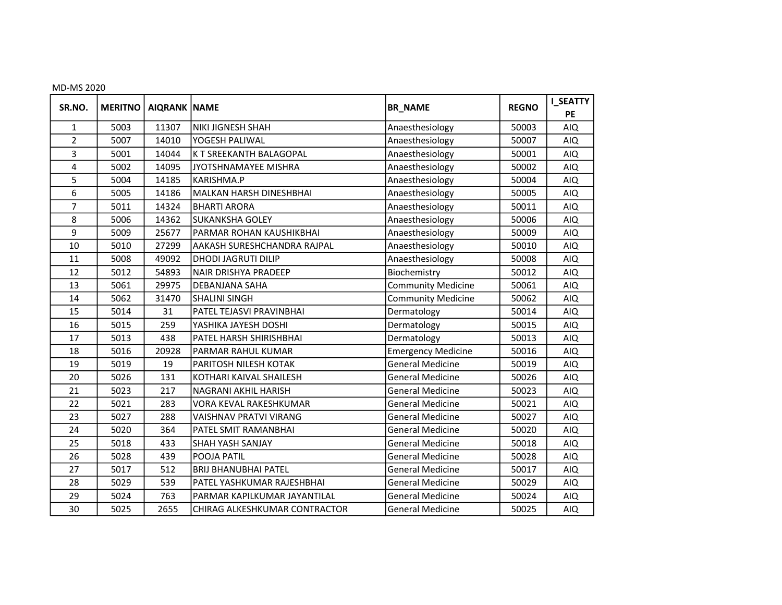| SR.NO.         | <b>MERITNO</b> | <b>AIQRANK NAME</b> |                               | <b>BR_NAME</b>            | <b>REGNO</b> | <b>I_SEATTY</b><br>PE |
|----------------|----------------|---------------------|-------------------------------|---------------------------|--------------|-----------------------|
| 1              | 5003           | 11307               | <b>NIKI JIGNESH SHAH</b>      | Anaesthesiology           | 50003        | AIQ                   |
| $\overline{2}$ | 5007           | 14010               | YOGESH PALIWAL                | Anaesthesiology           | 50007        | AIQ                   |
| 3              | 5001           | 14044               | K T SREEKANTH BALAGOPAL       | Anaesthesiology           | 50001        | AIQ                   |
| 4              | 5002           | 14095               | JYOTSHNAMAYEE MISHRA          | Anaesthesiology           | 50002        | AIQ                   |
| 5              | 5004           | 14185               | KARISHMA.P                    | Anaesthesiology           | 50004        | AIQ                   |
| 6              | 5005           | 14186               | MALKAN HARSH DINESHBHAI       | Anaesthesiology           | 50005        | AIQ                   |
| 7              | 5011           | 14324               | <b>BHARTI ARORA</b>           | Anaesthesiology           | 50011        | AIQ                   |
| 8              | 5006           | 14362               | <b>SUKANKSHA GOLEY</b>        | Anaesthesiology           | 50006        | AIQ                   |
| 9              | 5009           | 25677               | PARMAR ROHAN KAUSHIKBHAI      | Anaesthesiology           | 50009        | AIQ                   |
| 10             | 5010           | 27299               | AAKASH SURESHCHANDRA RAJPAL   | Anaesthesiology           | 50010        | AIQ                   |
| 11             | 5008           | 49092               | <b>DHODI JAGRUTI DILIP</b>    | Anaesthesiology           | 50008        | <b>AIQ</b>            |
| 12             | 5012           | 54893               | <b>NAIR DRISHYA PRADEEP</b>   | Biochemistry              | 50012        | <b>AIQ</b>            |
| 13             | 5061           | 29975               | DEBANJANA SAHA                | Community Medicine        | 50061        | AIQ                   |
| 14             | 5062           | 31470               | <b>SHALINI SINGH</b>          | <b>Community Medicine</b> | 50062        | AIQ                   |
| 15             | 5014           | 31                  | PATEL TEJASVI PRAVINBHAI      | Dermatology               | 50014        | AIQ                   |
| 16             | 5015           | 259                 | YASHIKA JAYESH DOSHI          | Dermatology               | 50015        | AIQ                   |
| 17             | 5013           | 438                 | PATEL HARSH SHIRISHBHAI       | Dermatology               | 50013        | <b>AIQ</b>            |
| 18             | 5016           | 20928               | PARMAR RAHUL KUMAR            | <b>Emergency Medicine</b> | 50016        | AIQ                   |
| 19             | 5019           | 19                  | PARITOSH NILESH KOTAK         | <b>General Medicine</b>   | 50019        | AIQ                   |
| 20             | 5026           | 131                 | KOTHARI KAIVAL SHAILESH       | <b>General Medicine</b>   | 50026        | <b>AIQ</b>            |
| 21             | 5023           | 217                 | <b>NAGRANI AKHIL HARISH</b>   | <b>General Medicine</b>   | 50023        | AIQ                   |
| 22             | 5021           | 283                 | <b>VORA KEVAL RAKESHKUMAR</b> | <b>General Medicine</b>   | 50021        | AIQ                   |
| 23             | 5027           | 288                 | <b>VAISHNAV PRATVI VIRANG</b> | <b>General Medicine</b>   | 50027        | AIQ                   |
| 24             | 5020           | 364                 | PATEL SMIT RAMANBHAI          | <b>General Medicine</b>   | 50020        | AIQ                   |
| 25             | 5018           | 433                 | SHAH YASH SANJAY              | <b>General Medicine</b>   | 50018        | AIQ                   |
| 26             | 5028           | 439                 | POOJA PATIL                   | <b>General Medicine</b>   | 50028        | <b>AIQ</b>            |
| 27             | 5017           | 512                 | <b>BRIJ BHANUBHAI PATEL</b>   | <b>General Medicine</b>   | 50017        | AIQ                   |
| 28             | 5029           | 539                 | PATEL YASHKUMAR RAJESHBHAI    | <b>General Medicine</b>   | 50029        | AIQ                   |
| 29             | 5024           | 763                 | PARMAR KAPILKUMAR JAYANTILAL  | <b>General Medicine</b>   | 50024        | AIQ                   |
| 30             | 5025           | 2655                | CHIRAG ALKESHKUMAR CONTRACTOR | <b>General Medicine</b>   | 50025        | AIQ                   |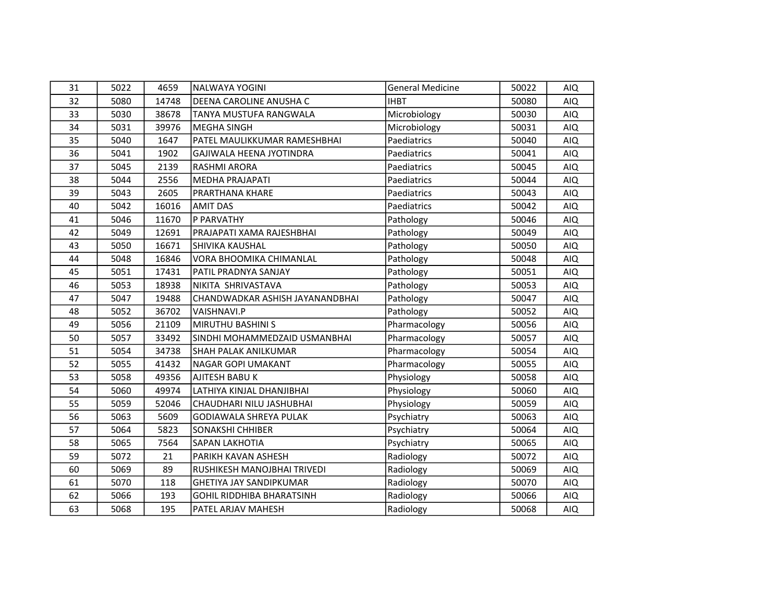| 31 | 5022 | 4659  | <b>NALWAYA YOGINI</b>            | <b>General Medicine</b> | 50022 | <b>AIQ</b> |
|----|------|-------|----------------------------------|-------------------------|-------|------------|
| 32 | 5080 | 14748 | DEENA CAROLINE ANUSHA C          | <b>IHBT</b>             | 50080 | <b>AIQ</b> |
| 33 | 5030 | 38678 | TANYA MUSTUFA RANGWALA           | Microbiology            | 50030 | <b>AIQ</b> |
| 34 | 5031 | 39976 | <b>MEGHA SINGH</b>               | Microbiology            | 50031 | AIQ        |
| 35 | 5040 | 1647  | PATEL MAULIKKUMAR RAMESHBHAI     | Paediatrics             | 50040 | AIQ        |
| 36 | 5041 | 1902  | GAJIWALA HEENA JYOTINDRA         | Paediatrics             | 50041 | <b>AIQ</b> |
| 37 | 5045 | 2139  | <b>RASHMI ARORA</b>              | Paediatrics             | 50045 | AIQ        |
| 38 | 5044 | 2556  | <b>MEDHA PRAJAPATI</b>           | Paediatrics             | 50044 | AIQ        |
| 39 | 5043 | 2605  | <b>PRARTHANA KHARE</b>           | Paediatrics             | 50043 | <b>AIQ</b> |
| 40 | 5042 | 16016 | <b>AMIT DAS</b>                  | Paediatrics             | 50042 | AIQ        |
| 41 | 5046 | 11670 | <b>P PARVATHY</b>                | Pathology               | 50046 | AIQ        |
| 42 | 5049 | 12691 | PRAJAPATI XAMA RAJESHBHAI        | Pathology               | 50049 | <b>AIQ</b> |
| 43 | 5050 | 16671 | <b>SHIVIKA KAUSHAL</b>           | Pathology               | 50050 | AIQ        |
| 44 | 5048 | 16846 | VORA BHOOMIKA CHIMANLAL          | Pathology               | 50048 | AIQ        |
| 45 | 5051 | 17431 | <b>PATIL PRADNYA SANJAY</b>      | Pathology               | 50051 | AIQ        |
| 46 | 5053 | 18938 | NIKITA SHRIVASTAVA               | Pathology               | 50053 | <b>AIQ</b> |
| 47 | 5047 | 19488 | CHANDWADKAR ASHISH JAYANANDBHAI  | Pathology               | 50047 | AIQ        |
| 48 | 5052 | 36702 | VAISHNAVI.P                      | Pathology               | 50052 | <b>AIQ</b> |
| 49 | 5056 | 21109 | IMIRUTHU BASHINI S               | Pharmacology            | 50056 | AIQ        |
| 50 | 5057 | 33492 | SINDHI MOHAMMEDZAID USMANBHAI    | Pharmacology            | 50057 | <b>AIQ</b> |
| 51 | 5054 | 34738 | <b>SHAH PALAK ANILKUMAR</b>      | Pharmacology            | 50054 | AIQ        |
| 52 | 5055 | 41432 | <b>NAGAR GOPI UMAKANT</b>        | Pharmacology            | 50055 | <b>AIQ</b> |
| 53 | 5058 | 49356 | AJITESH BABU K                   | Physiology              | 50058 | AIQ        |
| 54 | 5060 | 49974 | LATHIYA KINJAL DHANJIBHAI        | Physiology              | 50060 | <b>AIQ</b> |
| 55 | 5059 | 52046 | CHAUDHARI NILU JASHUBHAI         | Physiology              | 50059 | <b>AIQ</b> |
| 56 | 5063 | 5609  | <b>GODIAWALA SHREYA PULAK</b>    | Psychiatry              | 50063 | <b>AIQ</b> |
| 57 | 5064 | 5823  | <b>SONAKSHI CHHIBER</b>          | Psychiatry              | 50064 | AIQ        |
| 58 | 5065 | 7564  | <b>SAPAN LAKHOTIA</b>            | Psychiatry              | 50065 | <b>AIQ</b> |
| 59 | 5072 | 21    | PARIKH KAVAN ASHESH              | Radiology               | 50072 | AIQ        |
| 60 | 5069 | 89    | RUSHIKESH MANOJBHAI TRIVEDI      | Radiology               | 50069 | AIQ        |
| 61 | 5070 | 118   | <b>GHETIYA JAY SANDIPKUMAR</b>   | Radiology               | 50070 | AIQ        |
| 62 | 5066 | 193   | <b>GOHIL RIDDHIBA BHARATSINH</b> | Radiology               | 50066 | AIQ        |
| 63 | 5068 | 195   | PATEL ARJAV MAHESH               | Radiology               | 50068 | AIQ        |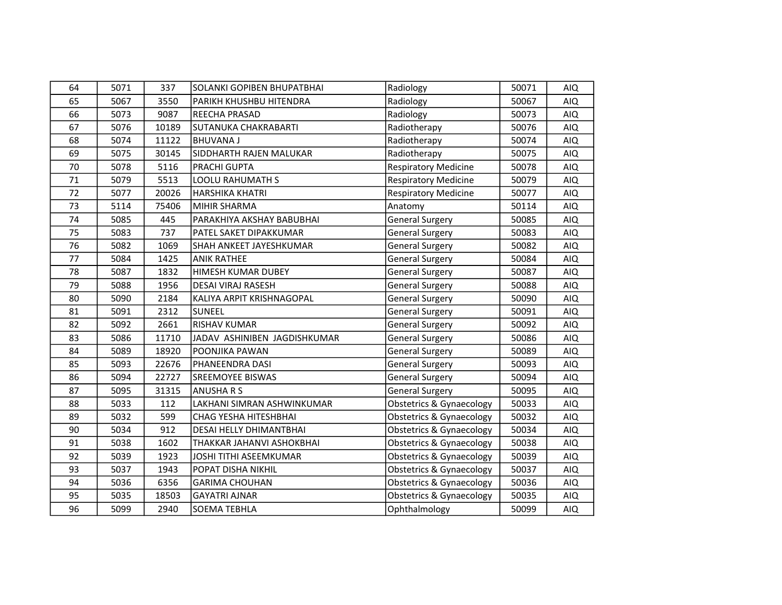| 64 | 5071 | 337   | <b>SOLANKI GOPIBEN BHUPATBHAI</b> | Radiology                           | 50071 | AIQ        |
|----|------|-------|-----------------------------------|-------------------------------------|-------|------------|
| 65 | 5067 | 3550  | PARIKH KHUSHBU HITENDRA           | Radiology                           | 50067 | AIQ        |
| 66 | 5073 | 9087  | <b>REECHA PRASAD</b>              | Radiology                           | 50073 | AIQ        |
| 67 | 5076 | 10189 | <b>SUTANUKA CHAKRABARTI</b>       | Radiotherapy                        | 50076 | AIQ        |
| 68 | 5074 | 11122 | <b>BHUVANA J</b>                  | Radiotherapy                        | 50074 | AIQ        |
| 69 | 5075 | 30145 | SIDDHARTH RAJEN MALUKAR           | Radiotherapy                        | 50075 | AIQ        |
| 70 | 5078 | 5116  | <b>PRACHI GUPTA</b>               | <b>Respiratory Medicine</b>         | 50078 | <b>AIQ</b> |
| 71 | 5079 | 5513  | <b>LOOLU RAHUMATH S</b>           | <b>Respiratory Medicine</b>         | 50079 | AIQ        |
| 72 | 5077 | 20026 | <b>HARSHIKA KHATRI</b>            | <b>Respiratory Medicine</b>         | 50077 | AIQ        |
| 73 | 5114 | 75406 | <b>MIHIR SHARMA</b>               | Anatomy                             | 50114 | AIQ        |
| 74 | 5085 | 445   | PARAKHIYA AKSHAY BABUBHAI         | <b>General Surgery</b>              | 50085 | <b>AIQ</b> |
| 75 | 5083 | 737   | PATEL SAKET DIPAKKUMAR            | <b>General Surgery</b>              | 50083 | AIQ        |
| 76 | 5082 | 1069  | SHAH ANKEET JAYESHKUMAR           | <b>General Surgery</b>              | 50082 | AIQ        |
| 77 | 5084 | 1425  | <b>ANIK RATHEE</b>                | <b>General Surgery</b>              | 50084 | AIQ        |
| 78 | 5087 | 1832  | <b>HIMESH KUMAR DUBEY</b>         | <b>General Surgery</b>              | 50087 | <b>AIQ</b> |
| 79 | 5088 | 1956  | <b>DESAI VIRAJ RASESH</b>         | <b>General Surgery</b>              | 50088 | AIQ        |
| 80 | 5090 | 2184  | KALIYA ARPIT KRISHNAGOPAL         | <b>General Surgery</b>              | 50090 | AIQ        |
| 81 | 5091 | 2312  | <b>SUNEEL</b>                     | <b>General Surgery</b>              | 50091 | AIQ        |
| 82 | 5092 | 2661  | <b>RISHAV KUMAR</b>               | <b>General Surgery</b>              | 50092 | AIQ        |
| 83 | 5086 | 11710 | JADAV ASHINIBEN JAGDISHKUMAR      | <b>General Surgery</b>              | 50086 | <b>AIQ</b> |
| 84 | 5089 | 18920 | POONJIKA PAWAN                    | <b>General Surgery</b>              | 50089 | AIQ        |
| 85 | 5093 | 22676 | PHANEENDRA DASI                   | <b>General Surgery</b>              | 50093 | AIQ        |
| 86 | 5094 | 22727 | <b>SREEMOYEE BISWAS</b>           | <b>General Surgery</b>              | 50094 | <b>AIQ</b> |
| 87 | 5095 | 31315 | <b>ANUSHARS</b>                   | <b>General Surgery</b>              | 50095 | <b>AIQ</b> |
| 88 | 5033 | 112   | LAKHANI SIMRAN ASHWINKUMAR        | Obstetrics & Gynaecology            | 50033 | AIQ        |
| 89 | 5032 | 599   | CHAG YESHA HITESHBHAI             | <b>Obstetrics &amp; Gynaecology</b> | 50032 | AIQ        |
| 90 | 5034 | 912   | <b>DESAI HELLY DHIMANTBHAI</b>    | <b>Obstetrics &amp; Gynaecology</b> | 50034 | AIQ.       |
| 91 | 5038 | 1602  | THAKKAR JAHANVI ASHOKBHAI         | <b>Obstetrics &amp; Gynaecology</b> | 50038 | <b>AIQ</b> |
| 92 | 5039 | 1923  | JOSHI TITHI ASEEMKUMAR            | Obstetrics & Gynaecology            | 50039 | AIQ        |
| 93 | 5037 | 1943  | POPAT DISHA NIKHIL                | <b>Obstetrics &amp; Gynaecology</b> | 50037 | AIQ        |
| 94 | 5036 | 6356  | <b>GARIMA CHOUHAN</b>             | Obstetrics & Gynaecology            | 50036 | <b>AIQ</b> |
| 95 | 5035 | 18503 | <b>GAYATRI AJNAR</b>              | Obstetrics & Gynaecology            | 50035 | AIQ        |
| 96 | 5099 | 2940  | <b>SOEMA TEBHLA</b>               | Ophthalmology                       | 50099 | AIQ        |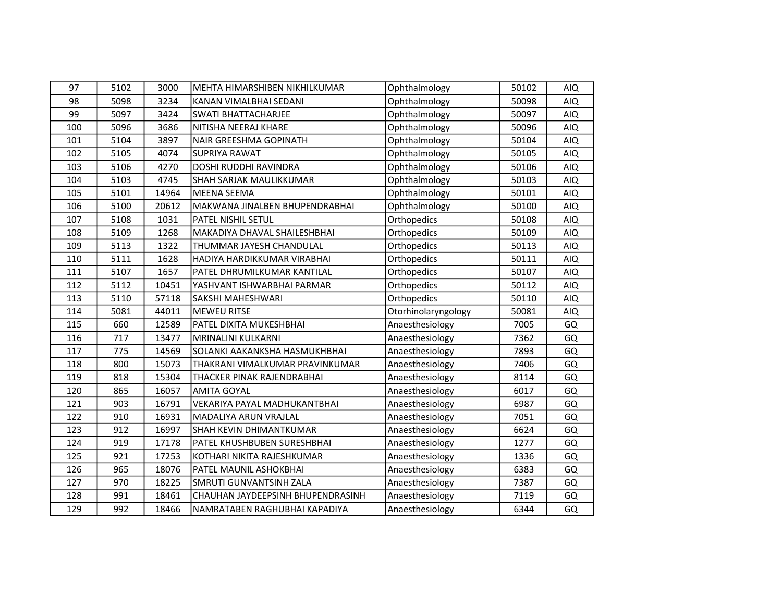| 97  | 5102 | 3000  | MEHTA HIMARSHIBEN NIKHILKUMAR       | Ophthalmology       | 50102 | <b>AIQ</b> |
|-----|------|-------|-------------------------------------|---------------------|-------|------------|
| 98  | 5098 | 3234  | KANAN VIMALBHAI SEDANI              | Ophthalmology       | 50098 | <b>AIQ</b> |
| 99  | 5097 | 3424  | <b>SWATI BHATTACHARJEE</b>          | Ophthalmology       | 50097 | <b>AIQ</b> |
| 100 | 5096 | 3686  | NITISHA NEERAJ KHARE                | Ophthalmology       | 50096 | AIQ        |
| 101 | 5104 | 3897  | NAIR GREESHMA GOPINATH              | Ophthalmology       | 50104 | <b>AIQ</b> |
| 102 | 5105 | 4074  | <b>SUPRIYA RAWAT</b>                | Ophthalmology       | 50105 | <b>AIQ</b> |
| 103 | 5106 | 4270  | DOSHI RUDDHI RAVINDRA               | Ophthalmology       | 50106 | <b>AIQ</b> |
| 104 | 5103 | 4745  | SHAH SARJAK MAULIKKUMAR             | Ophthalmology       | 50103 | AIQ        |
| 105 | 5101 | 14964 | <b>MEENA SEEMA</b>                  | Ophthalmology       | 50101 | AIQ        |
| 106 | 5100 | 20612 | MAKWANA JINALBEN BHUPENDRABHAI      | Ophthalmology       | 50100 | <b>AIQ</b> |
| 107 | 5108 | 1031  | PATEL NISHIL SETUL                  | Orthopedics         | 50108 | AIQ        |
| 108 | 5109 | 1268  | MAKADIYA DHAVAL SHAILESHBHAI        | Orthopedics         | 50109 | AIQ        |
| 109 | 5113 | 1322  | THUMMAR JAYESH CHANDULAL            | Orthopedics         | 50113 | AIQ        |
| 110 | 5111 | 1628  | HADIYA HARDIKKUMAR VIRABHAI         | Orthopedics         | 50111 | AIQ        |
| 111 | 5107 | 1657  | PATEL DHRUMILKUMAR KANTILAL         | Orthopedics         | 50107 | AIQ        |
| 112 | 5112 | 10451 | YASHVANT ISHWARBHAI PARMAR          | Orthopedics         | 50112 | AIQ        |
| 113 | 5110 | 57118 | <b>SAKSHI MAHESHWARI</b>            | Orthopedics         | 50110 | AIQ        |
| 114 | 5081 | 44011 | <b>MEWEU RITSE</b>                  | Otorhinolaryngology | 50081 | AIQ        |
| 115 | 660  | 12589 | PATEL DIXITA MUKESHBHAI             | Anaesthesiology     | 7005  | GQ         |
| 116 | 717  | 13477 | MRINALINI KULKARNI                  | Anaesthesiology     | 7362  | GQ         |
| 117 | 775  | 14569 | SOLANKI AAKANKSHA HASMUKHBHAI       | Anaesthesiology     | 7893  | GQ         |
| 118 | 800  | 15073 | THAKRANI VIMALKUMAR PRAVINKUMAR     | Anaesthesiology     | 7406  | GQ         |
| 119 | 818  | 15304 | THACKER PINAK RAJENDRABHAI          | Anaesthesiology     | 8114  | GQ         |
| 120 | 865  | 16057 | <b>AMITA GOYAL</b>                  | Anaesthesiology     | 6017  | GQ         |
| 121 | 903  | 16791 | <b>VEKARIYA PAYAL MADHUKANTBHAI</b> | Anaesthesiology     | 6987  | GQ         |
| 122 | 910  | 16931 | MADALIYA ARUN VRAJLAL               | Anaesthesiology     | 7051  | GQ         |
| 123 | 912  | 16997 | SHAH KEVIN DHIMANTKUMAR             | Anaesthesiology     | 6624  | GQ         |
| 124 | 919  | 17178 | PATEL KHUSHBUBEN SURESHBHAI         | Anaesthesiology     | 1277  | GQ         |
| 125 | 921  | 17253 | KOTHARI NIKITA RAJESHKUMAR          | Anaesthesiology     | 1336  | GQ         |
| 126 | 965  | 18076 | PATEL MAUNIL ASHOKBHAI              | Anaesthesiology     | 6383  | GQ         |
| 127 | 970  | 18225 | SMRUTI GUNVANTSINH ZALA             | Anaesthesiology     | 7387  | GQ         |
| 128 | 991  | 18461 | CHAUHAN JAYDEEPSINH BHUPENDRASINH   | Anaesthesiology     | 7119  | GQ         |
| 129 | 992  | 18466 | NAMRATABEN RAGHUBHAI KAPADIYA       | Anaesthesiology     | 6344  | GQ         |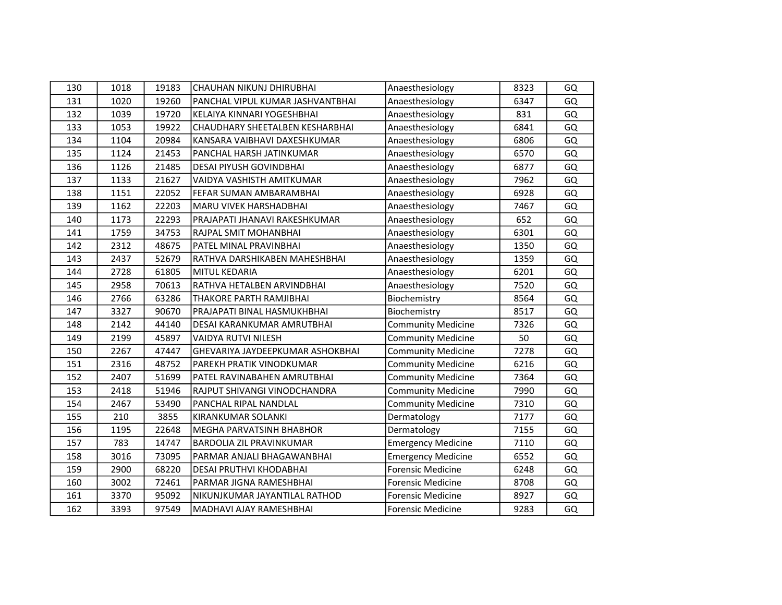| 130 | 1018 | 19183 | CHAUHAN NIKUNJ DHIRUBHAI         | Anaesthesiology           | 8323 | GQ |
|-----|------|-------|----------------------------------|---------------------------|------|----|
| 131 | 1020 | 19260 | PANCHAL VIPUL KUMAR JASHVANTBHAI | Anaesthesiology           | 6347 | GQ |
| 132 | 1039 | 19720 | KELAIYA KINNARI YOGESHBHAI       | Anaesthesiology           | 831  | GQ |
| 133 | 1053 | 19922 | CHAUDHARY SHEETALBEN KESHARBHAI  | Anaesthesiology           | 6841 | GQ |
| 134 | 1104 | 20984 | KANSARA VAIBHAVI DAXESHKUMAR     | Anaesthesiology           | 6806 | GQ |
| 135 | 1124 | 21453 | PANCHAL HARSH JATINKUMAR         | Anaesthesiology           | 6570 | GQ |
| 136 | 1126 | 21485 | <b>DESAI PIYUSH GOVINDBHAI</b>   | Anaesthesiology           | 6877 | GQ |
| 137 | 1133 | 21627 | VAIDYA VASHISTH AMITKUMAR        | Anaesthesiology           | 7962 | GQ |
| 138 | 1151 | 22052 | FEFAR SUMAN AMBARAMBHAI          | Anaesthesiology           | 6928 | GQ |
| 139 | 1162 | 22203 | <b>MARU VIVEK HARSHADBHAI</b>    | Anaesthesiology           | 7467 | GQ |
| 140 | 1173 | 22293 | PRAJAPATI JHANAVI RAKESHKUMAR    | Anaesthesiology           | 652  | GQ |
| 141 | 1759 | 34753 | RAJPAL SMIT MOHANBHAI            | Anaesthesiology           | 6301 | GQ |
| 142 | 2312 | 48675 | PATEL MINAL PRAVINBHAI           | Anaesthesiology           | 1350 | GQ |
| 143 | 2437 | 52679 | RATHVA DARSHIKABEN MAHESHBHAI    | Anaesthesiology           | 1359 | GQ |
| 144 | 2728 | 61805 | MITUL KEDARIA                    | Anaesthesiology           | 6201 | GQ |
| 145 | 2958 | 70613 | RATHVA HETALBEN ARVINDBHAI       | Anaesthesiology           | 7520 | GQ |
| 146 | 2766 | 63286 | <b>THAKORE PARTH RAMJIBHAI</b>   | Biochemistry              | 8564 | GQ |
| 147 | 3327 | 90670 | PRAJAPATI BINAL HASMUKHBHAI      | Biochemistry              | 8517 | GQ |
| 148 | 2142 | 44140 | DESAI KARANKUMAR AMRUTBHAI       | <b>Community Medicine</b> | 7326 | GQ |
| 149 | 2199 | 45897 | VAIDYA RUTVI NILESH              | <b>Community Medicine</b> | 50   | GQ |
| 150 | 2267 | 47447 | GHEVARIYA JAYDEEPKUMAR ASHOKBHAI | <b>Community Medicine</b> | 7278 | GQ |
| 151 | 2316 | 48752 | PAREKH PRATIK VINODKUMAR         | <b>Community Medicine</b> | 6216 | GQ |
| 152 | 2407 | 51699 | PATEL RAVINABAHEN AMRUTBHAI      | <b>Community Medicine</b> | 7364 | GQ |
| 153 | 2418 | 51946 | RAJPUT SHIVANGI VINODCHANDRA     | <b>Community Medicine</b> | 7990 | GQ |
| 154 | 2467 | 53490 | PANCHAL RIPAL NANDLAL            | <b>Community Medicine</b> | 7310 | GQ |
| 155 | 210  | 3855  | <b>KIRANKUMAR SOLANKI</b>        | Dermatology               | 7177 | GQ |
| 156 | 1195 | 22648 | <b>MEGHA PARVATSINH BHABHOR</b>  | Dermatology               | 7155 | GQ |
| 157 | 783  | 14747 | <b>BARDOLIA ZIL PRAVINKUMAR</b>  | <b>Emergency Medicine</b> | 7110 | GQ |
| 158 | 3016 | 73095 | PARMAR ANJALI BHAGAWANBHAI       | <b>Emergency Medicine</b> | 6552 | GQ |
| 159 | 2900 | 68220 | <b>DESAI PRUTHVI KHODABHAI</b>   | <b>Forensic Medicine</b>  | 6248 | GQ |
| 160 | 3002 | 72461 | PARMAR JIGNA RAMESHBHAI          | <b>Forensic Medicine</b>  | 8708 | GQ |
| 161 | 3370 | 95092 | NIKUNJKUMAR JAYANTILAL RATHOD    | <b>Forensic Medicine</b>  | 8927 | GQ |
| 162 | 3393 | 97549 | MADHAVI AJAY RAMESHBHAI          | <b>Forensic Medicine</b>  | 9283 | GQ |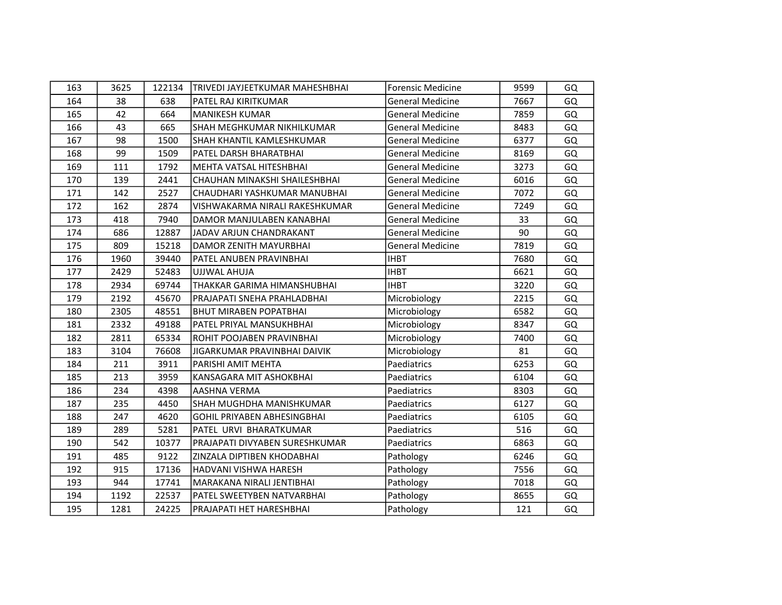| 163 | 3625 | 122134 | ITRIVEDI JAYJEETKUMAR MAHESHBHAI   | <b>Forensic Medicine</b> | 9599 | GQ |
|-----|------|--------|------------------------------------|--------------------------|------|----|
| 164 | 38   | 638    | <b>PATEL RAJ KIRITKUMAR</b>        | <b>General Medicine</b>  | 7667 | GQ |
| 165 | 42   | 664    | <b>MANIKESH KUMAR</b>              | <b>General Medicine</b>  | 7859 | GQ |
| 166 | 43   | 665    | <b>SHAH MEGHKUMAR NIKHILKUMAR</b>  | <b>General Medicine</b>  | 8483 | GQ |
| 167 | 98   | 1500   | <b>SHAH KHANTIL KAMLESHKUMAR</b>   | <b>General Medicine</b>  | 6377 | GQ |
| 168 | 99   | 1509   | PATEL DARSH BHARATBHAI             | <b>General Medicine</b>  | 8169 | GQ |
| 169 | 111  | 1792   | <b>MEHTA VATSAL HITESHBHAI</b>     | <b>General Medicine</b>  | 3273 | GQ |
| 170 | 139  | 2441   | CHAUHAN MINAKSHI SHAILESHBHAI      | <b>General Medicine</b>  | 6016 | GQ |
| 171 | 142  | 2527   | CHAUDHARI YASHKUMAR MANUBHAI       | <b>General Medicine</b>  | 7072 | GQ |
| 172 | 162  | 2874   | VISHWAKARMA NIRALI RAKESHKUMAR     | <b>General Medicine</b>  | 7249 | GQ |
| 173 | 418  | 7940   | DAMOR MANJULABEN KANABHAI          | <b>General Medicine</b>  | 33   | GQ |
| 174 | 686  | 12887  | JADAV ARJUN CHANDRAKANT            | <b>General Medicine</b>  | 90   | GQ |
| 175 | 809  | 15218  | DAMOR ZENITH MAYURBHAI             | <b>General Medicine</b>  | 7819 | GQ |
| 176 | 1960 | 39440  | PATEL ANUBEN PRAVINBHAI            | <b>IHBT</b>              | 7680 | GQ |
| 177 | 2429 | 52483  | <b>UJJWAL AHUJA</b>                | <b>IHBT</b>              | 6621 | GQ |
| 178 | 2934 | 69744  | THAKKAR GARIMA HIMANSHUBHAI        | <b>IHBT</b>              | 3220 | GQ |
| 179 | 2192 | 45670  | PRAJAPATI SNEHA PRAHLADBHAI        | Microbiology             | 2215 | GQ |
| 180 | 2305 | 48551  | BHUT MIRABEN POPATBHAI             | Microbiology             | 6582 | GQ |
| 181 | 2332 | 49188  | PATEL PRIYAL MANSUKHBHAI           | Microbiology             | 8347 | GQ |
| 182 | 2811 | 65334  | ROHIT POOJABEN PRAVINBHAI          | Microbiology             | 7400 | GQ |
| 183 | 3104 | 76608  | JIGARKUMAR PRAVINBHAI DAIVIK       | Microbiology             | 81   | GQ |
| 184 | 211  | 3911   | PARISHI AMIT MEHTA                 | Paediatrics              | 6253 | GQ |
| 185 | 213  | 3959   | KANSAGARA MIT ASHOKBHAI            | <b>Paediatrics</b>       | 6104 | GQ |
| 186 | 234  | 4398   | AASHNA VERMA                       | Paediatrics              | 8303 | GQ |
| 187 | 235  | 4450   | SHAH MUGHDHA MANISHKUMAR           | Paediatrics              | 6127 | GQ |
| 188 | 247  | 4620   | <b>GOHIL PRIYABEN ABHESINGBHAI</b> | Paediatrics              | 6105 | GQ |
| 189 | 289  | 5281   | PATEL URVI BHARATKUMAR             | <b>Paediatrics</b>       | 516  | GQ |
| 190 | 542  | 10377  | PRAJAPATI DIVYABEN SURESHKUMAR     | Paediatrics              | 6863 | GQ |
| 191 | 485  | 9122   | ZINZALA DIPTIBEN KHODABHAI         | Pathology                | 6246 | GQ |
| 192 | 915  | 17136  | <b>HADVANI VISHWA HARESH</b>       | Pathology                | 7556 | GQ |
| 193 | 944  | 17741  | MARAKANA NIRALI JENTIBHAI          | Pathology                | 7018 | GQ |
| 194 | 1192 | 22537  | <b>PATEL SWEETYBEN NATVARBHAI</b>  | Pathology                | 8655 | GQ |
| 195 | 1281 | 24225  | PRAJAPATI HET HARESHBHAI           | Pathology                | 121  | GQ |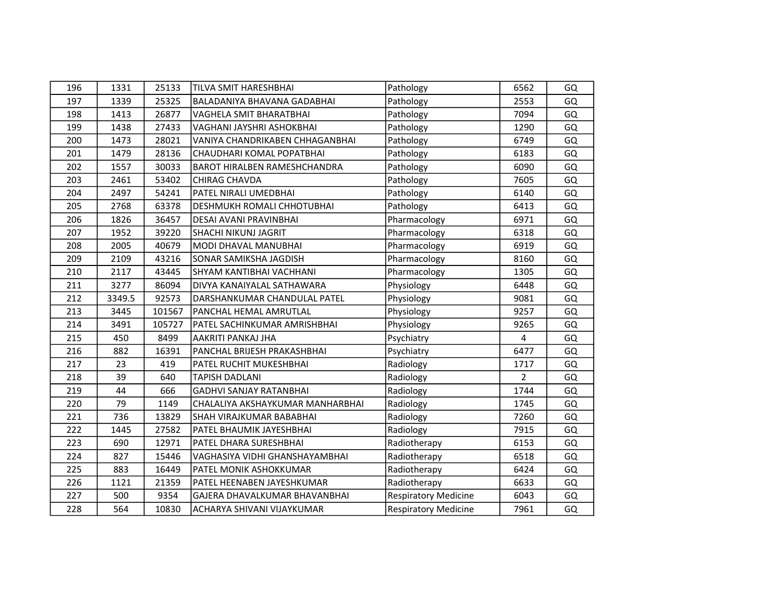| 196 | 1331   | 25133  | <b>TILVA SMIT HARESHBHAI</b>        | Pathology                   | 6562           | GQ |
|-----|--------|--------|-------------------------------------|-----------------------------|----------------|----|
| 197 | 1339   | 25325  | <b>BALADANIYA BHAVANA GADABHAI</b>  | Pathology                   | 2553           | GQ |
| 198 | 1413   | 26877  | <b>VAGHELA SMIT BHARATBHAI</b>      | Pathology                   | 7094           | GQ |
| 199 | 1438   | 27433  | VAGHANI JAYSHRI ASHOKBHAI           | Pathology                   | 1290           | GQ |
| 200 | 1473   | 28021  | VANIYA CHANDRIKABEN CHHAGANBHAI     | Pathology                   | 6749           | GQ |
| 201 | 1479   | 28136  | CHAUDHARI KOMAL POPATBHAI           | Pathology                   | 6183           | GQ |
| 202 | 1557   | 30033  | <b>BAROT HIRALBEN RAMESHCHANDRA</b> | Pathology                   | 6090           | GQ |
| 203 | 2461   | 53402  | <b>CHIRAG CHAVDA</b>                | Pathology                   | 7605           | GQ |
| 204 | 2497   | 54241  | PATEL NIRALI UMEDBHAI               | Pathology                   | 6140           | GQ |
| 205 | 2768   | 63378  | <b>DESHMUKH ROMALI CHHOTUBHAI</b>   | Pathology                   | 6413           | GQ |
| 206 | 1826   | 36457  | DESAI AVANI PRAVINBHAI              | Pharmacology                | 6971           | GQ |
| 207 | 1952   | 39220  | SHACHI NIKUNJ JAGRIT                | Pharmacology                | 6318           | GQ |
| 208 | 2005   | 40679  | <b>MODI DHAVAL MANUBHAI</b>         | Pharmacology                | 6919           | GQ |
| 209 | 2109   | 43216  | <b>SONAR SAMIKSHA JAGDISH</b>       | Pharmacology                | 8160           | GQ |
| 210 | 2117   | 43445  | <b>SHYAM KANTIBHAI VACHHANI</b>     | Pharmacology                | 1305           | GQ |
| 211 | 3277   | 86094  | DIVYA KANAIYALAL SATHAWARA          | Physiology                  | 6448           | GQ |
| 212 | 3349.5 | 92573  | DARSHANKUMAR CHANDULAL PATEL        | Physiology                  | 9081           | GQ |
| 213 | 3445   | 101567 | PANCHAL HEMAL AMRUTLAL              | Physiology                  | 9257           | GQ |
| 214 | 3491   | 105727 | PATEL SACHINKUMAR AMRISHBHAI        | Physiology                  | 9265           | GQ |
| 215 | 450    | 8499   | AAKRITI PANKAJ JHA                  | Psychiatry                  | 4              | GQ |
| 216 | 882    | 16391  | PANCHAL BRIJESH PRAKASHBHAI         | Psychiatry                  | 6477           | GQ |
| 217 | 23     | 419    | PATEL RUCHIT MUKESHBHAI             | Radiology                   | 1717           | GQ |
| 218 | 39     | 640    | <b>TAPISH DADLANI</b>               | Radiology                   | $\overline{2}$ | GQ |
| 219 | 44     | 666    | <b>GADHVI SANJAY RATANBHAI</b>      | Radiology                   | 1744           | GQ |
| 220 | 79     | 1149   | CHALALIYA AKSHAYKUMAR MANHARBHAI    | Radiology                   | 1745           | GQ |
| 221 | 736    | 13829  | SHAH VIRAJKUMAR BABABHAI            | Radiology                   | 7260           | GQ |
| 222 | 1445   | 27582  | PATEL BHAUMIK JAYESHBHAI            | Radiology                   | 7915           | GQ |
| 223 | 690    | 12971  | PATEL DHARA SURESHBHAI              | Radiotherapy                | 6153           | GQ |
| 224 | 827    | 15446  | VAGHASIYA VIDHI GHANSHAYAMBHAI      | Radiotherapy                | 6518           | GQ |
| 225 | 883    | 16449  | PATEL MONIK ASHOKKUMAR              | Radiotherapy                | 6424           | GQ |
| 226 | 1121   | 21359  | PATEL HEENABEN JAYESHKUMAR          | Radiotherapy                | 6633           | GQ |
| 227 | 500    | 9354   | GAJERA DHAVALKUMAR BHAVANBHAI       | <b>Respiratory Medicine</b> | 6043           | GQ |
| 228 | 564    | 10830  | ACHARYA SHIVANI VIJAYKUMAR          | <b>Respiratory Medicine</b> | 7961           | GQ |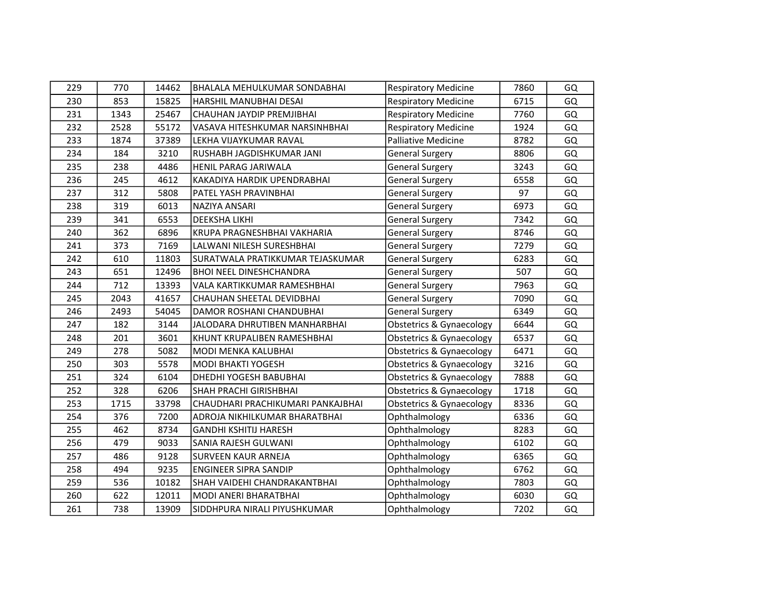| 229 | 770  | 14462 | BHALALA MEHULKUMAR SONDABHAI      | <b>Respiratory Medicine</b>         | 7860 | GQ |
|-----|------|-------|-----------------------------------|-------------------------------------|------|----|
| 230 | 853  | 15825 | <b>HARSHIL MANUBHAI DESAI</b>     | <b>Respiratory Medicine</b>         | 6715 | GQ |
| 231 | 1343 | 25467 | CHAUHAN JAYDIP PREMJIBHAI         | <b>Respiratory Medicine</b>         | 7760 | GQ |
| 232 | 2528 | 55172 | VASAVA HITESHKUMAR NARSINHBHAI    | <b>Respiratory Medicine</b>         | 1924 | GQ |
| 233 | 1874 | 37389 | LEKHA VIJAYKUMAR RAVAL            | Palliative Medicine                 | 8782 | GQ |
| 234 | 184  | 3210  | RUSHABH JAGDISHKUMAR JANI         | <b>General Surgery</b>              | 8806 | GQ |
| 235 | 238  | 4486  | <b>HENIL PARAG JARIWALA</b>       | <b>General Surgery</b>              | 3243 | GQ |
| 236 | 245  | 4612  | KAKADIYA HARDIK UPENDRABHAI       | <b>General Surgery</b>              | 6558 | GQ |
| 237 | 312  | 5808  | PATEL YASH PRAVINBHAI             | <b>General Surgery</b>              | 97   | GQ |
| 238 | 319  | 6013  | NAZIYA ANSARI                     | <b>General Surgery</b>              | 6973 | GQ |
| 239 | 341  | 6553  | <b>DEEKSHA LIKHI</b>              | <b>General Surgery</b>              | 7342 | GQ |
| 240 | 362  | 6896  | KRUPA PRAGNESHBHAI VAKHARIA       | <b>General Surgery</b>              | 8746 | GQ |
| 241 | 373  | 7169  | LALWANI NILESH SURESHBHAI         | <b>General Surgery</b>              | 7279 | GQ |
| 242 | 610  | 11803 | SURATWALA PRATIKKUMAR TEJASKUMAR  | <b>General Surgery</b>              | 6283 | GQ |
| 243 | 651  | 12496 | <b>BHOI NEEL DINESHCHANDRA</b>    | <b>General Surgery</b>              | 507  | GQ |
| 244 | 712  | 13393 | VALA KARTIKKUMAR RAMESHBHAI       | <b>General Surgery</b>              | 7963 | GQ |
| 245 | 2043 | 41657 | <b>CHAUHAN SHEETAL DEVIDBHAI</b>  | <b>General Surgery</b>              | 7090 | GQ |
| 246 | 2493 | 54045 | DAMOR ROSHANI CHANDUBHAI          | <b>General Surgery</b>              | 6349 | GQ |
| 247 | 182  | 3144  | JALODARA DHRUTIBEN MANHARBHAI     | Obstetrics & Gynaecology            | 6644 | GQ |
| 248 | 201  | 3601  | KHUNT KRUPALIBEN RAMESHBHAI       | Obstetrics & Gynaecology            | 6537 | GQ |
| 249 | 278  | 5082  | MODI MENKA KALUBHAI               | <b>Obstetrics &amp; Gynaecology</b> | 6471 | GQ |
| 250 | 303  | 5578  | <b>MODI BHAKTI YOGESH</b>         | <b>Obstetrics &amp; Gynaecology</b> | 3216 | GQ |
| 251 | 324  | 6104  | <b>DHEDHI YOGESH BABUBHAI</b>     | Obstetrics & Gynaecology            | 7888 | GQ |
| 252 | 328  | 6206  | ISHAH PRACHI GIRISHBHAI           | <b>Obstetrics &amp; Gynaecology</b> | 1718 | GQ |
| 253 | 1715 | 33798 | CHAUDHARI PRACHIKUMARI PANKAJBHAI | <b>Obstetrics &amp; Gynaecology</b> | 8336 | GQ |
| 254 | 376  | 7200  | ADROJA NIKHILKUMAR BHARATBHAI     | Ophthalmology                       | 6336 | GQ |
| 255 | 462  | 8734  | <b>GANDHI KSHITIJ HARESH</b>      | Ophthalmology                       | 8283 | GQ |
| 256 | 479  | 9033  | SANIA RAJESH GULWANI              | Ophthalmology                       | 6102 | GQ |
| 257 | 486  | 9128  | <b>SURVEEN KAUR ARNEJA</b>        | Ophthalmology                       | 6365 | GQ |
| 258 | 494  | 9235  | <b>ENGINEER SIPRA SANDIP</b>      | Ophthalmology                       | 6762 | GQ |
| 259 | 536  | 10182 | SHAH VAIDEHI CHANDRAKANTBHAI      | Ophthalmology                       | 7803 | GQ |
| 260 | 622  | 12011 | <b>MODI ANERI BHARATBHAI</b>      | Ophthalmology                       | 6030 | GQ |
| 261 | 738  | 13909 | SIDDHPURA NIRALI PIYUSHKUMAR      | Ophthalmology                       | 7202 | GQ |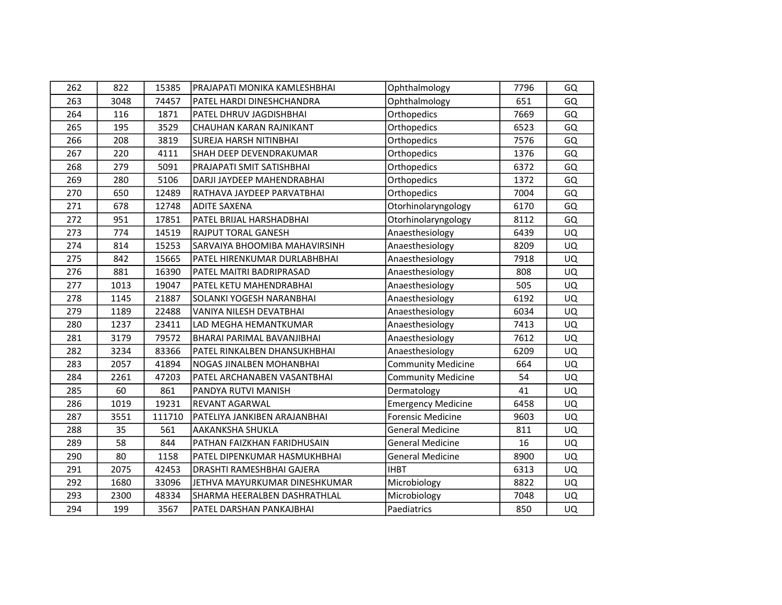| 262 | 822  | 15385  | PRAJAPATI MONIKA KAMLESHBHAI     | Ophthalmology             | 7796 | GQ        |
|-----|------|--------|----------------------------------|---------------------------|------|-----------|
| 263 | 3048 | 74457  | PATEL HARDI DINESHCHANDRA        | Ophthalmology             | 651  | GQ        |
| 264 | 116  | 1871   | PATEL DHRUV JAGDISHBHAI          | Orthopedics               | 7669 | GQ        |
| 265 | 195  | 3529   | CHAUHAN KARAN RAJNIKANT          | Orthopedics               | 6523 | GQ        |
| 266 | 208  | 3819   | <b>SUREJA HARSH NITINBHAI</b>    | Orthopedics               | 7576 | GQ        |
| 267 | 220  | 4111   | SHAH DEEP DEVENDRAKUMAR          | Orthopedics               | 1376 | GQ        |
| 268 | 279  | 5091   | PRAJAPATI SMIT SATISHBHAI        | Orthopedics               | 6372 | GQ        |
| 269 | 280  | 5106   | DARJI JAYDEEP MAHENDRABHAI       | Orthopedics               | 1372 | GQ        |
| 270 | 650  | 12489  | RATHAVA JAYDEEP PARVATBHAI       | Orthopedics               | 7004 | GQ        |
| 271 | 678  | 12748  | <b>ADITE SAXENA</b>              | Otorhinolaryngology       | 6170 | GQ        |
| 272 | 951  | 17851  | PATEL BRIJAL HARSHADBHAI         | Otorhinolaryngology       | 8112 | GQ        |
| 273 | 774  | 14519  | <b>RAJPUT TORAL GANESH</b>       | Anaesthesiology           | 6439 | UQ        |
| 274 | 814  | 15253  | SARVAIYA BHOOMIBA MAHAVIRSINH    | Anaesthesiology           | 8209 | <b>UQ</b> |
| 275 | 842  | 15665  | PATEL HIRENKUMAR DURLABHBHAI     | Anaesthesiology           | 7918 | <b>UQ</b> |
| 276 | 881  | 16390  | PATEL MAITRI BADRIPRASAD         | Anaesthesiology           | 808  | <b>UQ</b> |
| 277 | 1013 | 19047  | PATEL KETU MAHENDRABHAI          | Anaesthesiology           | 505  | UQ        |
| 278 | 1145 | 21887  | <b>SOLANKI YOGESH NARANBHAI</b>  | Anaesthesiology           | 6192 | UQ        |
| 279 | 1189 | 22488  | VANIYA NILESH DEVATBHAI          | Anaesthesiology           | 6034 | <b>UQ</b> |
| 280 | 1237 | 23411  | LAD MEGHA HEMANTKUMAR            | Anaesthesiology           | 7413 | UQ        |
| 281 | 3179 | 79572  | BHARAI PARIMAL BAVANJIBHAI       | Anaesthesiology           | 7612 | <b>UQ</b> |
| 282 | 3234 | 83366  | PATEL RINKALBEN DHANSUKHBHAI     | Anaesthesiology           | 6209 | UQ        |
| 283 | 2057 | 41894  | <b>NOGAS JINALBEN MOHANBHAI</b>  | <b>Community Medicine</b> | 664  | <b>UQ</b> |
| 284 | 2261 | 47203  | PATEL ARCHANABEN VASANTBHAI      | <b>Community Medicine</b> | 54   | <b>UQ</b> |
| 285 | 60   | 861    | PANDYA RUTVI MANISH              | Dermatology               | 41   | <b>UQ</b> |
| 286 | 1019 | 19231  | <b>REVANT AGARWAL</b>            | <b>Emergency Medicine</b> | 6458 | <b>UQ</b> |
| 287 | 3551 | 111710 | PATELIYA JANKIBEN ARAJANBHAI     | <b>Forensic Medicine</b>  | 9603 | <b>UQ</b> |
| 288 | 35   | 561    | <b>AAKANKSHA SHUKLA</b>          | <b>General Medicine</b>   | 811  | UQ        |
| 289 | 58   | 844    | PATHAN FAIZKHAN FARIDHUSAIN      | <b>General Medicine</b>   | 16   | UQ        |
| 290 | 80   | 1158   | PATEL DIPENKUMAR HASMUKHBHAI     | <b>General Medicine</b>   | 8900 | UQ        |
| 291 | 2075 | 42453  | <b>DRASHTI RAMESHBHAI GAJERA</b> | <b>IHBT</b>               | 6313 | UQ        |
| 292 | 1680 | 33096  | JETHVA MAYURKUMAR DINESHKUMAR    | Microbiology              | 8822 | UQ        |
| 293 | 2300 | 48334  | ISHARMA HEERALBEN DASHRATHLAL    | Microbiology              | 7048 | UQ        |
| 294 | 199  | 3567   | PATEL DARSHAN PANKAJBHAI         | Paediatrics               | 850  | UQ        |